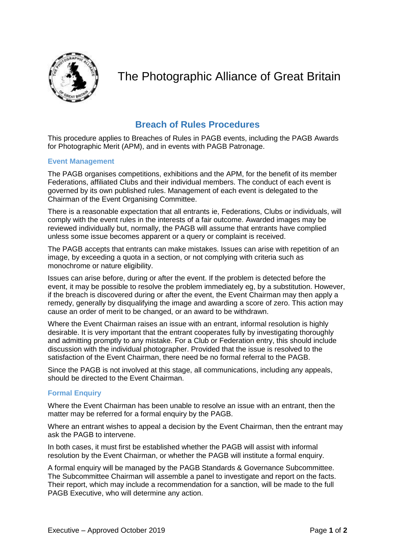

# The Photographic Alliance of Great Britain

# **Breach of Rules Procedures**

This procedure applies to Breaches of Rules in PAGB events, including the PAGB Awards for Photographic Merit (APM), and in events with PAGB Patronage.

## **Event Management**

The PAGB organises competitions, exhibitions and the APM, for the benefit of its member Federations, affiliated Clubs and their individual members. The conduct of each event is governed by its own published rules. Management of each event is delegated to the Chairman of the Event Organising Committee.

There is a reasonable expectation that all entrants ie, Federations, Clubs or individuals, will comply with the event rules in the interests of a fair outcome. Awarded images may be reviewed individually but, normally, the PAGB will assume that entrants have complied unless some issue becomes apparent or a query or complaint is received.

The PAGB accepts that entrants can make mistakes. Issues can arise with repetition of an image, by exceeding a quota in a section, or not complying with criteria such as monochrome or nature eligibility.

Issues can arise before, during or after the event. If the problem is detected before the event, it may be possible to resolve the problem immediately eg, by a substitution. However, if the breach is discovered during or after the event, the Event Chairman may then apply a remedy, generally by disqualifying the image and awarding a score of zero. This action may cause an order of merit to be changed, or an award to be withdrawn.

Where the Event Chairman raises an issue with an entrant, informal resolution is highly desirable. It is very important that the entrant cooperates fully by investigating thoroughly and admitting promptly to any mistake. For a Club or Federation entry, this should include discussion with the individual photographer. Provided that the issue is resolved to the satisfaction of the Event Chairman, there need be no formal referral to the PAGB.

Since the PAGB is not involved at this stage, all communications, including any appeals, should be directed to the Event Chairman.

## **Formal Enquiry**

Where the Event Chairman has been unable to resolve an issue with an entrant, then the matter may be referred for a formal enquiry by the PAGB.

Where an entrant wishes to appeal a decision by the Event Chairman, then the entrant may ask the PAGB to intervene.

In both cases, it must first be established whether the PAGB will assist with informal resolution by the Event Chairman, or whether the PAGB will institute a formal enquiry.

A formal enquiry will be managed by the PAGB Standards & Governance Subcommittee. The Subcommittee Chairman will assemble a panel to investigate and report on the facts. Their report, which may include a recommendation for a sanction, will be made to the full PAGB Executive, who will determine any action.